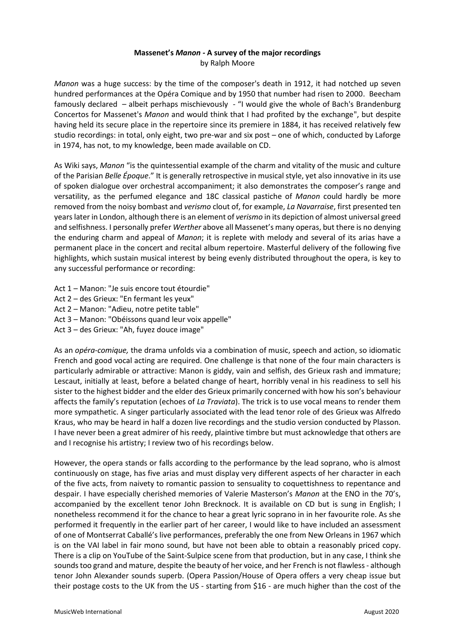## **Massenet's** *Manon -* **A survey of the major recordings** by Ralph Moore

*Manon* was a huge success: by the time of the composer's death in 1912, it had notched up seven hundred performances at the Opéra Comique and by 1950 that number had risen to 2000. Beecham famously declared – albeit perhaps mischievously - "I would give the whole of Bach's Brandenburg Concertos for Massenet's *Manon* and would think that I had profited by the exchange", but despite having held its secure place in the repertoire since its premiere in 1884, it has received relatively few studio recordings: in total, only eight, two pre-war and six post – one of which, conducted by Laforge in 1974, has not, to my knowledge, been made available on CD.

As Wiki says, *Manon* "is the quintessential example of the charm and vitality of the music and culture of the Parisian *Belle Époque*." It is generally retrospective in musical style, yet also innovative in its use of spoken dialogue over orchestral accompaniment; it also demonstrates the composer's range and versatility, as the perfumed elegance and 18C classical pastiche of *Manon* could hardly be more removed from the noisy bombast and *verismo* clout of, for example, *La Navarraise*, first presented ten years later in London, although there is an element of *verismo* in its depiction of almost universal greed and selfishness. I personally prefer *Werther* above all Massenet's many operas, but there is no denying the enduring charm and appeal of *Manon*; it is replete with melody and several of its arias have a permanent place in the concert and recital album repertoire. Masterful delivery of the following five highlights, which sustain musical interest by being evenly distributed throughout the opera, is key to any successful performance or recording:

- Act 1 Manon: "Je suis encore tout étourdie"
- Act 2 des Grieux: "En fermant les yeux"
- Act 2 Manon: "Adieu, notre petite table"
- Act 3 Manon: "Obéissons quand leur voix appelle"
- Act 3 des Grieux: "Ah, fuyez douce image"

As an *opéra-comique,* the drama unfolds via a combination of music, speech and action, so idiomatic French and good vocal acting are required. One challenge is that none of the four main characters is particularly admirable or attractive: Manon is giddy, vain and selfish, des Grieux rash and immature; Lescaut, initially at least, before a belated change of heart, horribly venal in his readiness to sell his sister to the highest bidder and the elder des Grieux primarily concerned with how his son's behaviour affects the family's reputation (echoes of *La Traviata*). The trick is to use vocal means to render them more sympathetic. A singer particularly associated with the lead tenor role of des Grieux was Alfredo Kraus, who may be heard in half a dozen live recordings and the studio version conducted by Plasson. I have never been a great admirer of his reedy, plaintive timbre but must acknowledge that others are and I recognise his artistry; I review two of his recordings below.

However, the opera stands or falls according to the performance by the lead soprano, who is almost continuously on stage, has five arias and must display very different aspects of her character in each of the five acts, from naivety to romantic passion to sensuality to coquettishness to repentance and despair. I have especially cherished memories of Valerie Masterson's *Manon* at the ENO in the 70's, accompanied by the excellent tenor John Brecknock. It is available on CD but is sung in English; I nonetheless recommend it for the chance to hear a great lyric soprano in in her favourite role. As she performed it frequently in the earlier part of her career, I would like to have included an assessment of one of Montserrat Caballé's live performances, preferably the one from New Orleans in 1967 which is on the VAI label in fair mono sound, but have not been able to obtain a reasonably priced copy. There is a clip on YouTube of the Saint-Sulpice scene from that production, but in any case, I think she sounds too grand and mature, despite the beauty of her voice, and her French is not flawless - although tenor John Alexander sounds superb. (Opera Passion/House of Opera offers a very cheap issue but their postage costs to the UK from the US - starting from \$16 - are much higher than the cost of the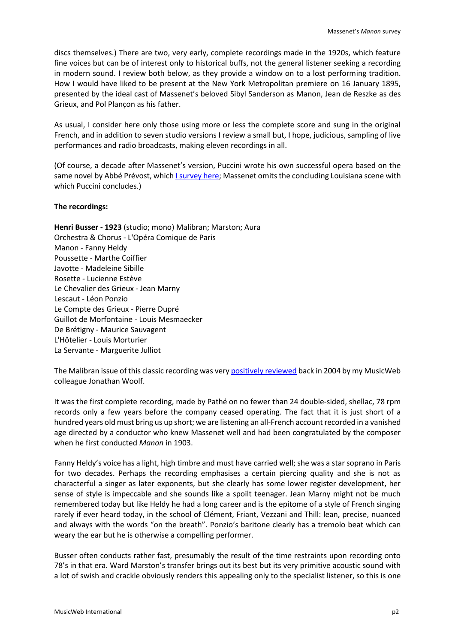discs themselves.) There are two, very early, complete recordings made in the 1920s, which feature fine voices but can be of interest only to historical buffs, not the general listener seeking a recording in modern sound. I review both below, as they provide a window on to a lost performing tradition. How I would have liked to be present at the New York Metropolitan premiere on 16 January 1895, presented by the ideal cast of Massenet's beloved Sibyl Sanderson as Manon, Jean de Reszke as des Grieux, and Pol Plançon as his father.

As usual, I consider here only those using more or less the complete score and sung in the original French, and in addition to seven studio versions I review a small but, I hope, judicious, sampling of live performances and radio broadcasts, making eleven recordings in all.

(Of course, a decade after Massenet's version, Puccini wrote his own successful opera based on the same novel by Abbé Prévost, which *I survey here;* Massenet omits the concluding Louisiana scene with which Puccini concludes.)

## **The recordings:**

**Henri Busser - 1923** (studio; mono) Malibran; Marston; Aura Orchestra & Chorus - L'Opéra Comique de Paris Manon - Fanny Heldy Poussette - Marthe Coiffier Javotte - Madeleine Sibille Rosette - Lucienne Estève Le Chevalier des Grieux - Jean Marny Lescaut - Léon Ponzio Le Compte des Grieux - Pierre Dupré Guillot de Morfontaine - Louis Mesmaecker De Brétigny - Maurice Sauvagent L'Hôtelier - Louis Morturier La Servante - Marguerite Julliot

The Malibran issue of this classic recording was ver[y positively reviewed](http://www.musicweb-international.com/classrev/2004/Feb04/manon_malibran.htm) back in 2004 by my MusicWeb colleague Jonathan Woolf.

It was the first complete recording, made by Pathé on no fewer than 24 double-sided, shellac, 78 rpm records only a few years before the company ceased operating. The fact that it is just short of a hundred years old must bring us up short; we are listening an all-French account recorded in a vanished age directed by a conductor who knew Massenet well and had been congratulated by the composer when he first conducted *Manon* in 1903.

Fanny Heldy's voice has a light, high timbre and must have carried well; she was a star soprano in Paris for two decades. Perhaps the recording emphasises a certain piercing quality and she is not as characterful a singer as later exponents, but she clearly has some lower register development, her sense of style is impeccable and she sounds like a spoilt teenager. Jean Marny might not be much remembered today but like Heldy he had a long career and is the epitome of a style of French singing rarely if ever heard today, in the school of Clément, Friant, Vezzani and Thill: lean, precise, nuanced and always with the words "on the breath". Ponzio's baritone clearly has a tremolo beat which can weary the ear but he is otherwise a compelling performer.

Busser often conducts rather fast, presumably the result of the time restraints upon recording onto 78's in that era. Ward Marston's transfer brings out its best but its very primitive acoustic sound with a lot of swish and crackle obviously renders this appealing only to the specialist listener, so this is one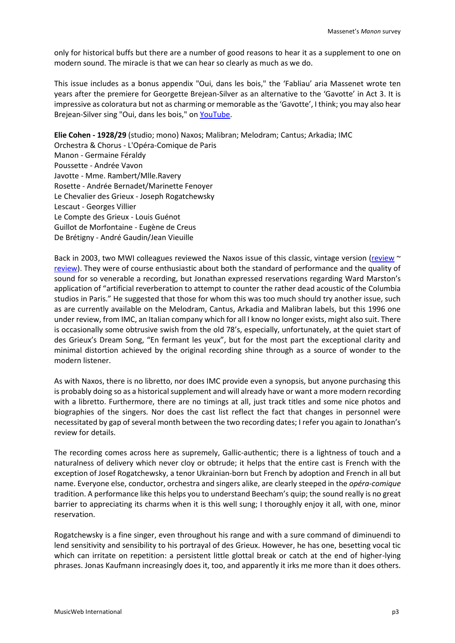only for historical buffs but there are a number of good reasons to hear it as a supplement to one on modern sound. The miracle is that we can hear so clearly as much as we do.

This issue includes as a bonus appendix "Oui, dans les bois," the 'Fabliau' aria Massenet wrote ten years after the premiere for Georgette Brejean-Silver as an alternative to the 'Gavotte' in Act 3. It is impressive as coloratura but not as charming or memorable as the 'Gavotte', I think; you may also hear Brejean-Silver sing "Oui, dans les bois," o[n YouTube.](https://www.youtube.com/watch?v=i5ueDmYV4pI)

**Elie Cohen - 1928/29** (studio; mono) Naxos; Malibran; Melodram; Cantus; Arkadia; IMC

Orchestra & Chorus - L'Opéra-Comique de Paris Manon - Germaine Féraldy Poussette - Andrée Vavon Javotte - Mme. Rambert/Mlle.Ravery Rosette - Andrée Bernadet/Marinette Fenoyer Le Chevalier des Grieux - Joseph Rogatchewsky Lescaut - Georges Villier Le Compte des Grieux - Louis Guénot Guillot de Morfontaine - Eugène de Creus De Brétigny - André Gaudin/Jean Vieuille

Back in 2003, two MWI colleagues reviewed the Naxos issue of this classic, vintage version [\(review](http://www.musicweb-international.com/classrev/2003/Apr03/Massenet_Manon.htm)  $\sim$ [review\)](http://www.musicweb-international.com/classrev/2003/Aug03/Jules_MASSENET_manon.htm). They were of course enthusiastic about both the standard of performance and the quality of sound for so venerable a recording, but Jonathan expressed reservations regarding Ward Marston's application of "artificial reverberation to attempt to counter the rather dead acoustic of the Columbia studios in Paris." He suggested that those for whom this was too much should try another issue, such as are currently available on the Melodram, Cantus, Arkadia and Malibran labels, but this 1996 one under review, from IMC, an Italian company which for all I know no longer exists, might also suit. There is occasionally some obtrusive swish from the old 78's, especially, unfortunately, at the quiet start of des Grieux's Dream Song, "En fermant les yeux", but for the most part the exceptional clarity and minimal distortion achieved by the original recording shine through as a source of wonder to the modern listener.

As with Naxos, there is no libretto, nor does IMC provide even a synopsis, but anyone purchasing this is probably doing so as a historical supplement and will already have or want a more modern recording with a libretto. Furthermore, there are no timings at all, just track titles and some nice photos and biographies of the singers. Nor does the cast list reflect the fact that changes in personnel were necessitated by gap of several month between the two recording dates; I refer you again to Jonathan's review for details.

The recording comes across here as supremely, Gallic-authentic; there is a lightness of touch and a naturalness of delivery which never cloy or obtrude; it helps that the entire cast is French with the exception of Josef Rogatchewsky, a tenor Ukrainian-born but French by adoption and French in all but name. Everyone else, conductor, orchestra and singers alike, are clearly steeped in the *opéra-comique* tradition. A performance like this helps you to understand Beecham's quip; the sound really is no great barrier to appreciating its charms when it is this well sung; I thoroughly enjoy it all, with one, minor reservation.

Rogatchewsky is a fine singer, even throughout his range and with a sure command of diminuendi to lend sensitivity and sensibility to his portrayal of des Grieux. However, he has one, besetting vocal tic which can irritate on repetition: a persistent little glottal break or catch at the end of higher-lying phrases. Jonas Kaufmann increasingly does it, too, and apparently it irks me more than it does others.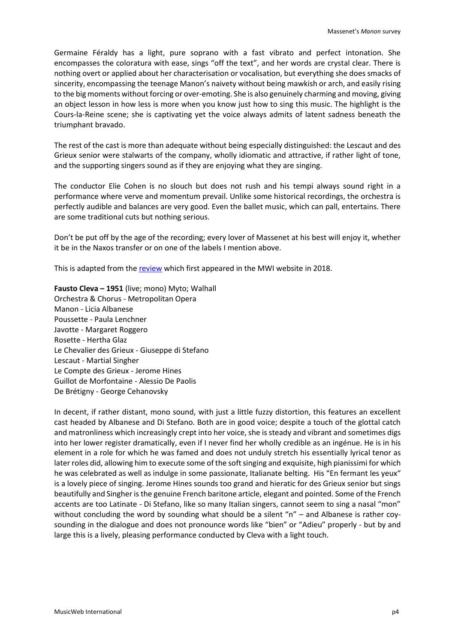Germaine Féraldy has a light, pure soprano with a fast vibrato and perfect intonation. She encompasses the coloratura with ease, sings "off the text", and her words are crystal clear. There is nothing overt or applied about her characterisation or vocalisation, but everything she does smacks of sincerity, encompassing the teenage Manon's naivety without being mawkish or arch, and easily rising to the big moments without forcing or over-emoting. She is also genuinely charming and moving, giving an object lesson in how less is more when you know just how to sing this music. The highlight is the Cours-la-Reine scene; she is captivating yet the voice always admits of latent sadness beneath the triumphant bravado.

The rest of the cast is more than adequate without being especially distinguished: the Lescaut and des Grieux senior were stalwarts of the company, wholly idiomatic and attractive, if rather light of tone, and the supporting singers sound as if they are enjoying what they are singing.

The conductor Elie Cohen is no slouch but does not rush and his tempi always sound right in a performance where verve and momentum prevail. Unlike some historical recordings, the orchestra is perfectly audible and balances are very good. Even the ballet music, which can pall, entertains. There are some traditional cuts but nothing serious.

Don't be put off by the age of the recording; every lover of Massenet at his best will enjoy it, whether it be in the Naxos transfer or on one of the labels I mention above.

This is adapted from the [review](http://www.musicweb-international.com/classrev/2018/Apr/Massenet_Manon_200206.htm) which first appeared in the MWI website in 2018.

**Fausto Cleva – 1951** (live; mono) Myto; Walhall Orchestra & Chorus - Metropolitan Opera Manon - Licia Albanese Poussette - Paula Lenchner Javotte - Margaret Roggero Rosette - Hertha Glaz Le Chevalier des Grieux - Giuseppe di Stefano Lescaut - Martial Singher Le Compte des Grieux - Jerome Hines Guillot de Morfontaine - Alessio De Paolis De Brétigny - George Cehanovsky

In decent, if rather distant, mono sound, with just a little fuzzy distortion, this features an excellent cast headed by Albanese and Di Stefano. Both are in good voice; despite a touch of the glottal catch and matronliness which increasingly crept into her voice, she is steady and vibrant and sometimes digs into her lower register dramatically, even if I never find her wholly credible as an ingénue. He is in his element in a role for which he was famed and does not unduly stretch his essentially lyrical tenor as later roles did, allowing him to execute some of the soft singing and exquisite, high pianissimi for which he was celebrated as well as indulge in some passionate, Italianate belting. His "En fermant les yeux" is a lovely piece of singing. Jerome Hines sounds too grand and hieratic for des Grieux senior but sings beautifully and Singher is the genuine French baritone article, elegant and pointed. Some of the French accents are too Latinate - Di Stefano, like so many Italian singers, cannot seem to sing a nasal "mon" without concluding the word by sounding what should be a silent "n" – and Albanese is rather coysounding in the dialogue and does not pronounce words like "bien" or "Adieu" properly - but by and large this is a lively, pleasing performance conducted by Cleva with a light touch.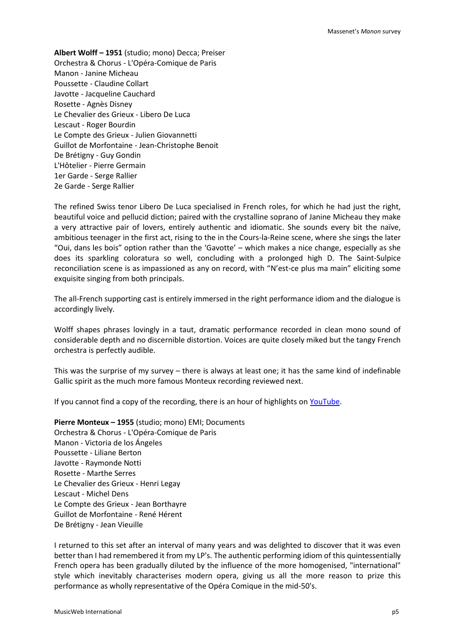**Albert Wolff – 1951** (studio; mono) Decca; Preiser Orchestra & Chorus - L'Opéra-Comique de Paris Manon - Janine Micheau Poussette - Claudine Collart Javotte - Jacqueline Cauchard Rosette - Agnès Disney Le Chevalier des Grieux - Libero De Luca Lescaut - Roger Bourdin Le Compte des Grieux - Julien Giovannetti Guillot de Morfontaine - Jean-Christophe Benoit De Brétigny - Guy Gondin L'Hôtelier - Pierre Germain 1er Garde - Serge Rallier 2e Garde - Serge Rallier

The refined Swiss tenor Libero De Luca specialised in French roles, for which he had just the right, beautiful voice and pellucid diction; paired with the crystalline soprano of Janine Micheau they make a very attractive pair of lovers, entirely authentic and idiomatic. She sounds every bit the naïve, ambitious teenager in the first act, rising to the in the Cours-la-Reine scene, where she sings the later "Oui, dans les bois" option rather than the 'Gavotte' – which makes a nice change, especially as she does its sparkling coloratura so well, concluding with a prolonged high D. The Saint-Sulpice reconciliation scene is as impassioned as any on record, with "N'est-ce plus ma main" eliciting some exquisite singing from both principals.

The all-French supporting cast is entirely immersed in the right performance idiom and the dialogue is accordingly lively.

Wolff shapes phrases lovingly in a taut, dramatic performance recorded in clean mono sound of considerable depth and no discernible distortion. Voices are quite closely miked but the tangy French orchestra is perfectly audible.

This was the surprise of my survey – there is always at least one; it has the same kind of indefinable Gallic spirit as the much more famous Monteux recording reviewed next.

If you cannot find a copy of the recording, there is an hour of highlights on [YouTube.](https://www.youtube.com/watch?v=bTs58oNnngg)

**Pierre Monteux – 1955** (studio; mono) EMI; Documents Orchestra & Chorus - L'Opéra-Comique de Paris Manon - Victoria de los Ángeles Poussette - Liliane Berton Javotte - Raymonde Notti Rosette - Marthe Serres Le Chevalier des Grieux - Henri Legay Lescaut - Michel Dens Le Compte des Grieux - Jean Borthayre Guillot de Morfontaine - René Hérent De Brétigny - Jean Vieuille

I returned to this set after an interval of many years and was delighted to discover that it was even better than I had remembered it from my LP's. The authentic performing idiom of this quintessentially French opera has been gradually diluted by the influence of the more homogenised, "international" style which inevitably characterises modern opera, giving us all the more reason to prize this performance as wholly representative of the Opéra Comique in the mid-50's.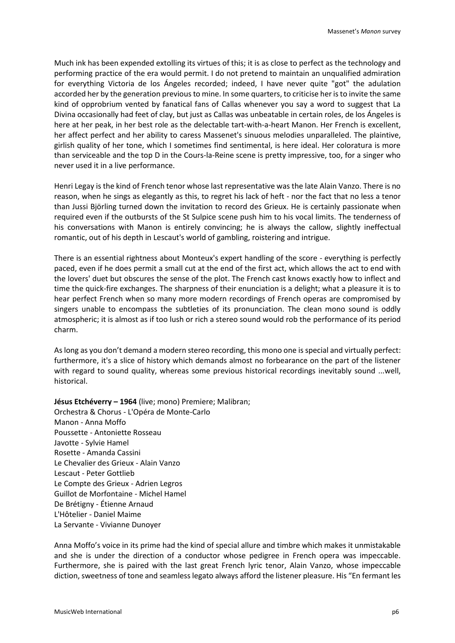Much ink has been expended extolling its virtues of this; it is as close to perfect as the technology and performing practice of the era would permit. I do not pretend to maintain an unqualified admiration for everything Victoria de los Ángeles recorded; indeed, I have never quite "got" the adulation accorded her by the generation previous to mine. In some quarters, to criticise her is to invite the same kind of opprobrium vented by fanatical fans of Callas whenever you say a word to suggest that La Divina occasionally had feet of clay, but just as Callas was unbeatable in certain roles, de los Ángeles is here at her peak, in her best role as the delectable tart-with-a-heart Manon. Her French is excellent, her affect perfect and her ability to caress Massenet's sinuous melodies unparalleled. The plaintive, girlish quality of her tone, which I sometimes find sentimental, is here ideal. Her coloratura is more than serviceable and the top D in the Cours-la-Reine scene is pretty impressive, too, for a singer who never used it in a live performance.

Henri Legay is the kind of French tenor whose last representative was the late Alain Vanzo. There is no reason, when he sings as elegantly as this, to regret his lack of heft - nor the fact that no less a tenor than Jussi Björling turned down the invitation to record des Grieux. He is certainly passionate when required even if the outbursts of the St Sulpice scene push him to his vocal limits. The tenderness of his conversations with Manon is entirely convincing; he is always the callow, slightly ineffectual romantic, out of his depth in Lescaut's world of gambling, roistering and intrigue.

There is an essential rightness about Monteux's expert handling of the score - everything is perfectly paced, even if he does permit a small cut at the end of the first act, which allows the act to end with the lovers' duet but obscures the sense of the plot. The French cast knows exactly how to inflect and time the quick-fire exchanges. The sharpness of their enunciation is a delight; what a pleasure it is to hear perfect French when so many more modern recordings of French operas are compromised by singers unable to encompass the subtleties of its pronunciation. The clean mono sound is oddly atmospheric; it is almost as if too lush or rich a stereo sound would rob the performance of its period charm.

As long as you don't demand a modern stereo recording, this mono one is special and virtually perfect: furthermore, it's a slice of history which demands almost no forbearance on the part of the listener with regard to sound quality, whereas some previous historical recordings inevitably sound ...well, historical.

**Jésus Etchéverry – 1964** (live; mono) Premiere; Malibran;

Orchestra & Chorus - L'Opéra de Monte-Carlo Manon - Anna Moffo Poussette - Antoniette Rosseau Javotte - Sylvie Hamel Rosette - Amanda Cassini Le Chevalier des Grieux - Alain Vanzo Lescaut - Peter Gottlieb Le Compte des Grieux - Adrien Legros Guillot de Morfontaine - Michel Hamel De Brétigny - Étienne Arnaud L'Hôtelier - Daniel Maime La Servante - Vivianne Dunoyer

Anna Moffo's voice in its prime had the kind of special allure and timbre which makes it unmistakable and she is under the direction of a conductor whose pedigree in French opera was impeccable. Furthermore, she is paired with the last great French lyric tenor, Alain Vanzo, whose impeccable diction, sweetness of tone and seamless legato always afford the listener pleasure. His "En fermant les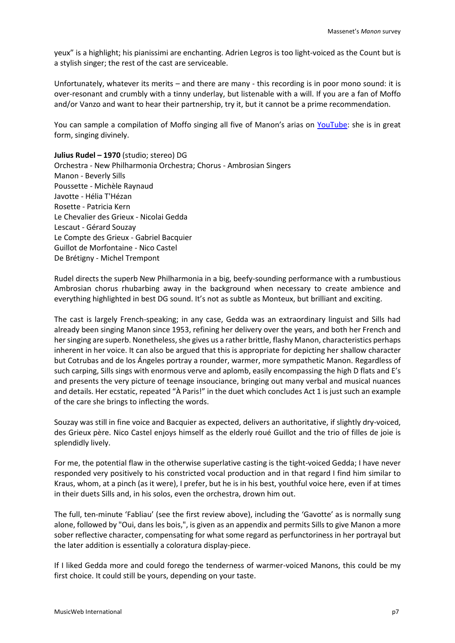yeux" is a highlight; his pianissimi are enchanting. Adrien Legros is too light-voiced as the Count but is a stylish singer; the rest of the cast are serviceable.

Unfortunately, whatever its merits – and there are many - this recording is in poor mono sound: it is over-resonant and crumbly with a tinny underlay, but listenable with a will. If you are a fan of Moffo and/or Vanzo and want to hear their partnership, try it, but it cannot be a prime recommendation.

You can sample a compilation of Moffo singing all five of Manon's arias on [YouTube:](https://www.youtube.com/watch?v=afRQheGkHKM) she is in great form, singing divinely.

**Julius Rudel – 1970** (studio; stereo) DG Orchestra - New Philharmonia Orchestra; Chorus - Ambrosian Singers Manon - Beverly Sills Poussette - Michèle Raynaud Javotte - Hélia T'Hézan Rosette - Patricia Kern Le Chevalier des Grieux - Nicolai Gedda Lescaut - Gérard Souzay Le Compte des Grieux - Gabriel Bacquier Guillot de Morfontaine - Nico Castel De Brétigny - Michel Trempont

Rudel directs the superb New Philharmonia in a big, beefy-sounding performance with a rumbustious Ambrosian chorus rhubarbing away in the background when necessary to create ambience and everything highlighted in best DG sound. It's not as subtle as Monteux, but brilliant and exciting.

The cast is largely French-speaking; in any case, Gedda was an extraordinary linguist and Sills had already been singing Manon since 1953, refining her delivery over the years, and both her French and her singing are superb. Nonetheless, she gives us a rather brittle, flashy Manon, characteristics perhaps inherent in her voice. It can also be argued that this is appropriate for depicting her shallow character but Cotrubas and de los Ángeles portray a rounder, warmer, more sympathetic Manon. Regardless of such carping, Sills sings with enormous verve and aplomb, easily encompassing the high D flats and E's and presents the very picture of teenage insouciance, bringing out many verbal and musical nuances and details. Her ecstatic, repeated "À Paris!" in the duet which concludes Act 1 is just such an example of the care she brings to inflecting the words.

Souzay was still in fine voice and Bacquier as expected, delivers an authoritative, if slightly dry-voiced, des Grieux père. Nico Castel enjoys himself as the elderly roué Guillot and the trio of filles de joie is splendidly lively.

For me, the potential flaw in the otherwise superlative casting is the tight-voiced Gedda; I have never responded very positively to his constricted vocal production and in that regard I find him similar to Kraus, whom, at a pinch (as it were), I prefer, but he is in his best, youthful voice here, even if at times in their duets Sills and, in his solos, even the orchestra, drown him out.

The full, ten-minute 'Fabliau' (see the first review above), including the 'Gavotte' as is normally sung alone, followed by "Oui, dans les bois,", is given as an appendix and permits Sills to give Manon a more sober reflective character, compensating for what some regard as perfunctoriness in her portrayal but the later addition is essentially a coloratura display-piece.

If I liked Gedda more and could forego the tenderness of warmer-voiced Manons, this could be my first choice. It could still be yours, depending on your taste.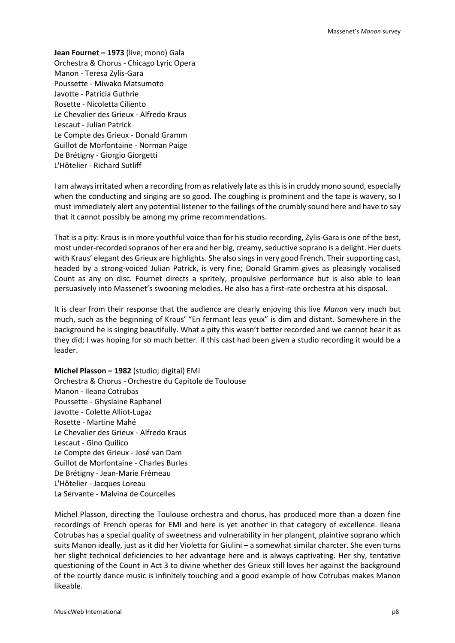**Jean Fournet – 1973** (live; mono) Gala Orchestra & Chorus - Chicago Lyric Opera Manon - Teresa Zylis-Gara Poussette - Miwako Matsumoto Javotte - Patricia Guthrie Rosette - Nicoletta Ciliento Le Chevalier des Grieux - Alfredo Kraus Lescaut - Julian Patrick Le Compte des Grieux - Donald Gramm Guillot de Morfontaine - Norman Paige De Brétigny - Giorgio Giorgetti L'Hôtelier - Richard Sutliff

I am always irritated when a recording from as relatively late as this is in cruddy mono sound, especially when the conducting and singing are so good. The coughing is prominent and the tape is wavery, so I must immediately alert any potential listener to the failings of the crumbly sound here and have to say that it cannot possibly be among my prime recommendations.

That is a pity: Kraus is in more youthful voice than for his studio recording, Zylis-Gara is one of the best, most under-recorded sopranos of her era and her big, creamy, seductive soprano is a delight. Her duets with Kraus' elegant des Grieux are highlights. She also sings in very good French. Their supporting cast, headed by a strong-voiced Julian Patrick, is very fine; Donald Gramm gives as pleasingly vocalised Count as any on disc. Fournet directs a spritely, propulsive performance but is also able to lean persuasively into Massenet's swooning melodies. He also has a first-rate orchestra at his disposal.

It is clear from their response that the audience are clearly enjoying this live *Manon* very much but much, such as the beginning of Kraus' "En fermant leas yeux" is dim and distant. Somewhere in the background he is singing beautifully. What a pity this wasn't better recorded and we cannot hear it as they did; I was hoping for so much better. If this cast had been given a studio recording it would be a leader.

**Michel Plasson – 1982** (studio; digital) EMI Orchestra & Chorus - Orchestre du Capitole de Toulouse Manon - Ileana Cotrubas Poussette - Ghyslaine Raphanel Javotte - Colette Alliot-Lugaz Rosette - Martine Mahé Le Chevalier des Grieux - Alfredo Kraus Lescaut - Gino Quilico Le Compte des Grieux - José van Dam Guillot de Morfontaine - Charles Burles De Brétigny - Jean-Marie Frémeau L'Hôtelier - Jacques Loreau La Servante - Malvina de Courcelles

Michel Plasson, directing the Toulouse orchestra and chorus, has produced more than a dozen fine recordings of French operas for EMI and here is yet another in that category of excellence. Ileana Cotrubas has a special quality of sweetness and vulnerability in her plangent, plaintive soprano which suits Manon ideally, just as it did her Violetta for Giulini – a somewhat similar charcter. She even turns her slight technical deficiencies to her advantage here and is always captivating. Her shy, tentative questioning of the Count in Act 3 to divine whether des Grieux still loves her against the background of the courtly dance music is infinitely touching and a good example of how Cotrubas makes Manon likeable.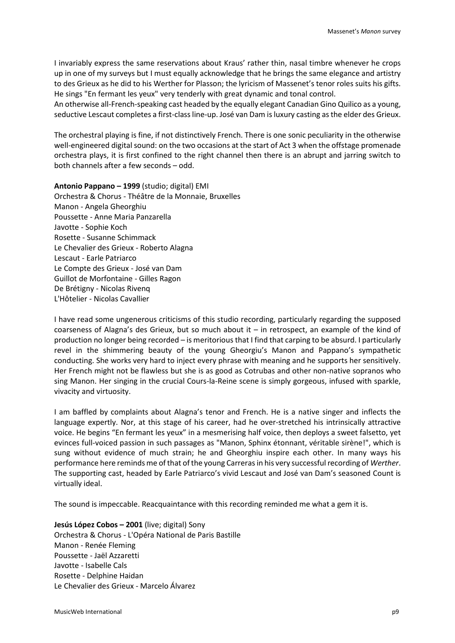I invariably express the same reservations about Kraus' rather thin, nasal timbre whenever he crops up in one of my surveys but I must equally acknowledge that he brings the same elegance and artistry to des Grieux as he did to his Werther for Plasson; the lyricism of Massenet's tenor roles suits his gifts. He sings "En fermant les yeux" very tenderly with great dynamic and tonal control.

An otherwise all-French-speaking cast headed by the equally elegant Canadian Gino Quilico as a young, seductive Lescaut completes a first-class line-up. José van Dam is luxury casting as the elder des Grieux.

The orchestral playing is fine, if not distinctively French. There is one sonic peculiarity in the otherwise well-engineered digital sound: on the two occasions at the start of Act 3 when the offstage promenade orchestra plays, it is first confined to the right channel then there is an abrupt and jarring switch to both channels after a few seconds – odd.

**Antonio Pappano – 1999** (studio; digital) EMI Orchestra & Chorus - Théâtre de la Monnaie, Bruxelles Manon - Angela Gheorghiu Poussette - Anne Maria Panzarella Javotte - Sophie Koch Rosette - Susanne Schimmack Le Chevalier des Grieux - Roberto Alagna Lescaut - Earle Patriarco Le Compte des Grieux - José van Dam Guillot de Morfontaine - Gilles Ragon De Brétigny - Nicolas Rivenq L'Hôtelier - Nicolas Cavallier

I have read some ungenerous criticisms of this studio recording, particularly regarding the supposed coarseness of Alagna's des Grieux, but so much about it – in retrospect, an example of the kind of production no longer being recorded – is meritorious that I find that carping to be absurd. I particularly revel in the shimmering beauty of the young Gheorgiu's Manon and Pappano's sympathetic conducting. She works very hard to inject every phrase with meaning and he supports her sensitively. Her French might not be flawless but she is as good as Cotrubas and other non-native sopranos who sing Manon. Her singing in the crucial Cours-la-Reine scene is simply gorgeous, infused with sparkle, vivacity and virtuosity.

I am baffled by complaints about Alagna's tenor and French. He is a native singer and inflects the language expertly. Nor, at this stage of his career, had he over-stretched his intrinsically attractive voice. He begins "En fermant les yeux" in a mesmerising half voice, then deploys a sweet falsetto, yet evinces full-voiced passion in such passages as "Manon, Sphinx étonnant, véritable sirène!", which is sung without evidence of much strain; he and Gheorghiu inspire each other. In many ways his performance here reminds me of that of the young Carreras in his very successful recording of *Werther*. The supporting cast, headed by Earle Patriarco's vivid Lescaut and José van Dam's seasoned Count is virtually ideal.

The sound is impeccable. Reacquaintance with this recording reminded me what a gem it is.

**Jesús López Cobos – 2001** (live; digital) Sony Orchestra & Chorus - L'Opéra National de Paris Bastille Manon - Renée Fleming Poussette - Jaël Azzaretti Javotte - Isabelle Cals Rosette - Delphine Haidan Le Chevalier des Grieux - Marcelo Álvarez